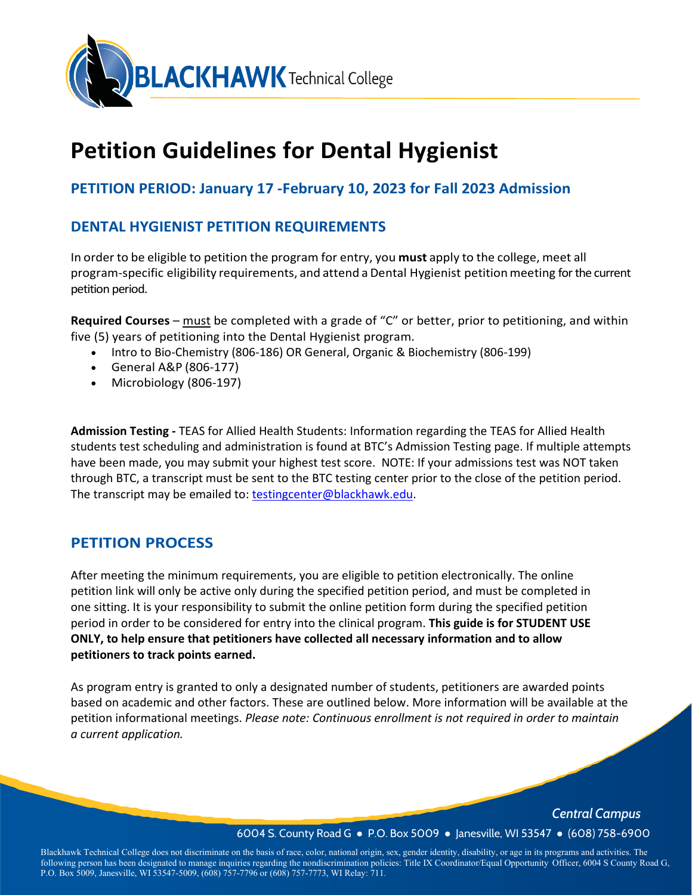

# **Petition Guidelines for Dental Hygienist**

# **PETITION PERIOD: January 17 -February 10, 2023 for Fall 2023 Admission**

# **DENTAL HYGIENIST PETITION REQUIREMENTS**

In order to be eligible to petition the program for entry, you **must** apply to the college, meet all program-specific eligibility requirements, and attend a Dental Hygienist petitionmeeting for the current petition period.

**Required Courses** – must be completed with a grade of "C" or better, prior to petitioning, and within five (5) years of petitioning into the Dental Hygienist program.

- Intro to Bio-Chemistry (806-186) OR General, Organic & Biochemistry (806-199)
- General A&P (806-177)
- Microbiology (806-197)

**Admission Testing -** TEAS for Allied Health Students: Information regarding the TEAS for Allied Health students test scheduling and administration is found at BTC's Admission Testing page. If multiple attempts have been made, you may submit your highest test score. NOTE: If your admissions test was NOT taken through BTC, a transcript must be sent to the BTC testing center prior to the close of the petition period. The transcript may be emailed to: [testingcenter@blackhawk.edu.](mailto:testingcenter@blackhawk.edu)

# **PETITION PROCESS**

After meeting the minimum requirements, you are eligible to petition electronically. The online petition link will only be active only during the specified petition period, and must be completed in one sitting. It is your responsibility to submit the online petition form during the specified petition period in order to be considered for entry into the clinical program. **This guide is for STUDENT USE ONLY, to help ensure that petitioners have collected all necessary information and to allow petitioners to track points earned.**

As program entry is granted to only a designated number of students, petitioners are awarded points based on academic and other factors. These are outlined below. More information will be available at the petition informational meetings. *Please note: Continuous enrollment is not required in order to maintain a current application.*

> *Central Campus Central Campus* 6004 S. County Road G ● P.O. Box 5009 ● Janesville, WI 53547 ● (608) 758-6900 6004 S. County Road G ● P.O. Box 5009 ● Janesville, WI 53547 ● (608) 758-6900

Blackhawk Technical College does not discriminate on the basis of race, color, national origin, sex, gender identity, disability, or age in its programs and activities. The following person has been designated to manage inquiries regarding the nondiscrimination policies: Title IX Coordinator/Equal Opportunity Officer, 6004 S County Road G, P.O. Box 5009, Janesville, WI 53547-5009, (608) 757-7796 or (608) 757-7773, WI Relay: 711. P.O. Box 5009, Janesville, WI 53547-5009, (608) 757-7796 or (608) 757-7773, WI Relay: 711.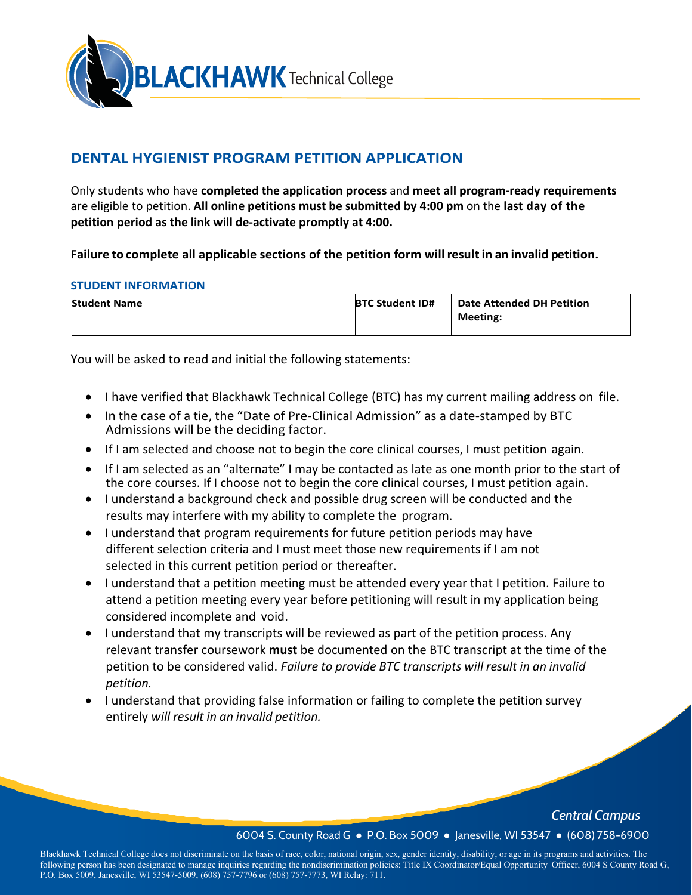

# **DENTAL HYGIENIST PROGRAM PETITION APPLICATION**

Only students who have **completed the application process** and **meet all program-ready requirements**  are eligible to petition. **All online petitions must be submitted by 4:00 pm** on the **last day of the petition period as the link will de-activate promptly at 4:00.**

**Failure to complete all applicable sections of the petition form willresult in an invalid petition.** 

#### **STUDENT INFORMATION**

| <b>Student Name</b> | <b>BTC Student ID#</b> | <b>Date Attended DH Petition</b> |
|---------------------|------------------------|----------------------------------|
|                     |                        | Meeting:                         |

You will be asked to read and initial the following statements:

- I have verified that Blackhawk Technical College (BTC) has my current mailing address on file.
- In the case of a tie, the "Date of Pre-Clinical Admission" as a date-stamped by BTC Admissions will be the deciding factor.
- If I am selected and choose not to begin the core clinical courses, I must petition again.
- If I am selected as an "alternate" I may be contacted as late as one month prior to the start of the core courses. If I choose not to begin the core clinical courses, I must petition again.
- I understand a background check and possible drug screen will be conducted and the results may interfere with my ability to complete the program.
- I understand that program requirements for future petition periods may have different selection criteria and I must meet those new requirements if I am not selected in this current petition period or thereafter.
- I understand that a petition meeting must be attended every year that I petition. Failure to attend a petition meeting every year before petitioning will result in my application being considered incomplete and void.
- I understand that my transcripts will be reviewed as part of the petition process. Any relevant transfer coursework **must** be documented on the BTC transcript at the time of the petition to be considered valid. *Failure to provide BTC transcripts will result in an invalid petition.*
- I understand that providing false information or failing to complete the petition survey entirely *will result in an invalid petition.*

*Central Campus*

#### 6004 S. County Road G ● P.O. Box 5009 ● Janesville, WI 53547 ● (608) 758-6900

Blackhawk Technical College does not discriminate on the basis of race, color, national origin, sex, gender identity, disability, or age in its programs and activities. The following person has been designated to manage inquiries regarding the nondiscrimination policies: Title IX Coordinator/Equal Opportunity Officer, 6004 S County Road G, P.O. Box 5009, Janesville, WI 53547-5009, (608) 757-7796 or (608) 757-7773, WI Relay: 711.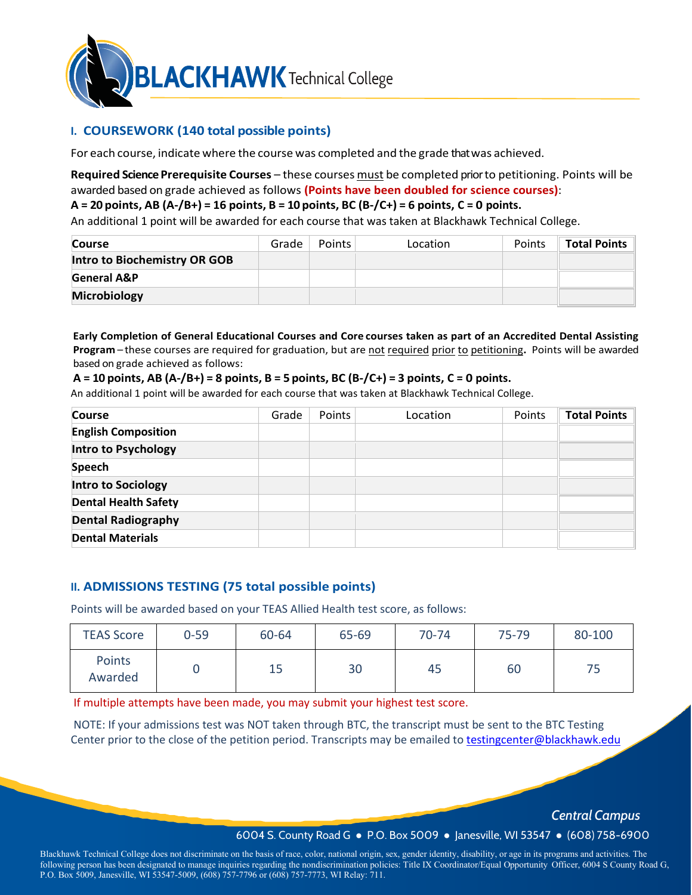

# **I. COURSEWORK (140 total possible points)**

For each course, indicate where the course was completed and the grade that was achieved.

#### **Required Science Prerequisite Courses** – these courses must be completed prior to petitioning. Points will be awarded based on grade achieved as follows **(Points have been doubled for science courses)**:

#### **A = 20 points, AB (A-/B+) = 16 points, B = 10 points, BC (B-/C+) = 6 points, C = 0 points.**

An additional 1 point will be awarded for each course that was taken at Blackhawk Technical College.

| <b>Course</b>                | Grade | <b>Points</b> | Location | Points | <b>Total Points</b> |
|------------------------------|-------|---------------|----------|--------|---------------------|
| Intro to Biochemistry OR GOB |       |               |          |        |                     |
| <b>General A&amp;P</b>       |       |               |          |        |                     |
| <b>Microbiology</b>          |       |               |          |        |                     |

**Early Completion of General Educational Courses and Core courses taken as part of an Accredited Dental Assisting Program** – these courses are required for graduation, but are not required prior to petitioning**.** Points will be awarded based on grade achieved as follows:

#### **A = 10 points, AB (A-/B+) = 8 points, B = 5 points, BC (B-/C+) = 3 points, C = 0 points.**

An additional 1 point will be awarded for each course that was taken at Blackhawk Technical College.

| <b>Course</b>               | Grade | Points | Location | Points | <b>Total Points</b> |
|-----------------------------|-------|--------|----------|--------|---------------------|
| <b>English Composition</b>  |       |        |          |        |                     |
| Intro to Psychology         |       |        |          |        |                     |
| <b>Speech</b>               |       |        |          |        |                     |
| <b>Intro to Sociology</b>   |       |        |          |        |                     |
| <b>Dental Health Safety</b> |       |        |          |        |                     |
| <b>Dental Radiography</b>   |       |        |          |        |                     |
| <b>Dental Materials</b>     |       |        |          |        |                     |

## **II. ADMISSIONS TESTING (75 total possible points)**

Points will be awarded based on your TEAS Allied Health test score, as follows:

| <b>TEAS Score</b> | $0 - 59$ | 60-64 | 65-69 | 70-74 | 75-79 | 80-100 |
|-------------------|----------|-------|-------|-------|-------|--------|
| Points<br>Awarded |          | 15    | 30    | 45    | 60    |        |

If multiple attempts have been made, you may submit your highest test score.

NOTE: If your admissions test was NOT taken through BTC, the transcript must be sent to the BTC Testing Center prior to the close of the petition period. Transcripts may be emailed to [testingcenter@blackhawk.edu](mailto:testingcenter@blackhawk.edu)

*Central Campus*

#### 6004 S. County Road G ● P.O. Box 5009 ● Janesville, WI 53547 ● (608) 758-6900

Blackhawk Technical College does not discriminate on the basis of race, color, national origin, sex, gender identity, disability, or age in its programs and activities. The following person has been designated to manage inquiries regarding the nondiscrimination policies: Title IX Coordinator/Equal Opportunity Officer, 6004 S County Road G, P.O. Box 5009, Janesville, WI 53547-5009, (608) 757-7796 or (608) 757-7773, WI Relay: 711.